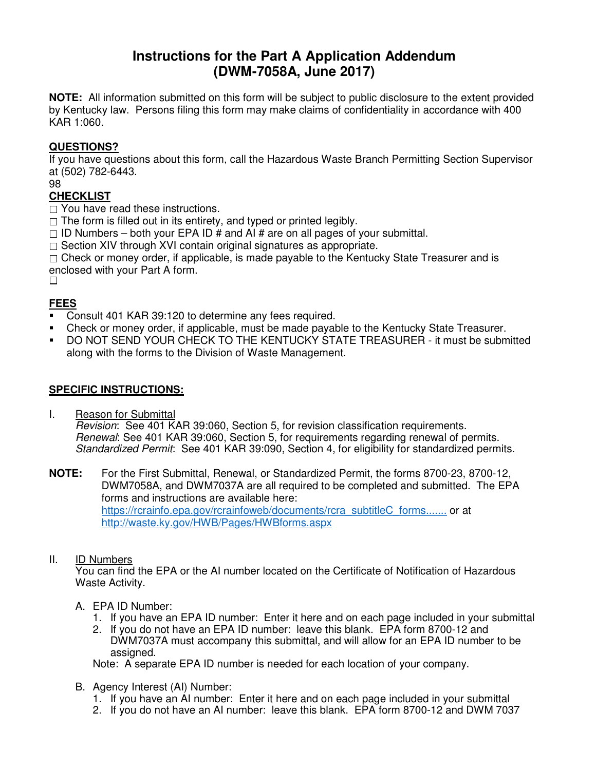# **Instructions for the Part A Application Addendum (DWM-7058A, June 2017)**

**NOTE:** All information submitted on this form will be subject to public disclosure to the extent provided by Kentucky law. Persons filing this form may make claims of confidentiality in accordance with 400 KAR 1:060.

### **QUESTIONS?**

If you have questions about this form, call the Hazardous Waste Branch Permitting Section Supervisor at (502) 782-6443.

98

## **CHECKLIST**

 $\Box$  You have read these instructions.

 $\Box$  The form is filled out in its entirety, and typed or printed legibly.

 $\Box$  ID Numbers – both your EPA ID # and AI # are on all pages of your submittal.

 $\Box$  Section XIV through XVI contain original signatures as appropriate.

 $\Box$  Check or money order, if applicable, is made payable to the Kentucky State Treasurer and is enclosed with your Part A form.

 $\Box$ 

# **FEES**

- Consult 401 KAR 39:120 to determine any fees required.
- Check or money order, if applicable, must be made payable to the Kentucky State Treasurer.
- DO NOT SEND YOUR CHECK TO THE KENTUCKY STATE TREASURER it must be submitted along with the forms to the Division of Waste Management.

### **SPECIFIC INSTRUCTIONS:**

I. Reason for Submittal Revision: See 401 KAR 39:060, Section 5, for revision classification requirements. Renewal: See 401 KAR 39:060, Section 5, for requirements regarding renewal of permits. Standardized Permit: See 401 KAR 39:090, Section 4, for eligibility for standardized permits.

**NOTE:** For the First Submittal, Renewal, or Standardized Permit, the forms 8700-23, 8700-12, DWM7058A, and DWM7037A are all required to be completed and submitted. The EPA forms and instructions are available here: https://rcrainfo.epa.gov/rcrainfoweb/documents/rcra\_subtitleC\_forms....... or at http://waste.ky.gov/HWB/Pages/HWBforms.aspx

#### II. ID Numbers

You can find the EPA or the AI number located on the Certificate of Notification of Hazardous Waste Activity.

- A. EPA ID Number:
	- 1. If you have an EPA ID number: Enter it here and on each page included in your submittal
	- 2. If you do not have an EPA ID number: leave this blank. EPA form 8700-12 and DWM7037A must accompany this submittal, and will allow for an EPA ID number to be assigned.

Note: A separate EPA ID number is needed for each location of your company.

- B. Agency Interest (AI) Number:
	- 1. If you have an AI number: Enter it here and on each page included in your submittal
	- 2. If you do not have an AI number: leave this blank. EPA form 8700-12 and DWM 7037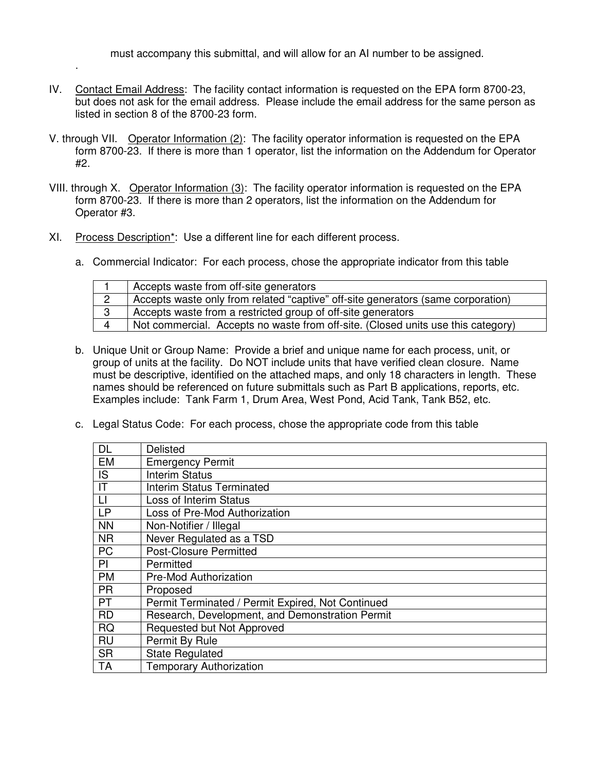must accompany this submittal, and will allow for an AI number to be assigned.

- IV. Contact Email Address: The facility contact information is requested on the EPA form 8700-23, but does not ask for the email address. Please include the email address for the same person as listed in section 8 of the 8700-23 form.
- V. through VII. Operator Information (2): The facility operator information is requested on the EPA form 8700-23. If there is more than 1 operator, list the information on the Addendum for Operator #2.
- VIII. through X. Operator Information (3): The facility operator information is requested on the EPA form 8700-23. If there is more than 2 operators, list the information on the Addendum for Operator #3.
- XI. Process Description\*: Use a different line for each different process.

.

a. Commercial Indicator: For each process, chose the appropriate indicator from this table

|   | Accepts waste from off-site generators                                           |
|---|----------------------------------------------------------------------------------|
| ◯ | Accepts waste only from related "captive" off-site generators (same corporation) |
| 3 | Accepts waste from a restricted group of off-site generators                     |
|   | Not commercial. Accepts no waste from off-site. (Closed units use this category) |

- b. Unique Unit or Group Name: Provide a brief and unique name for each process, unit, or group of units at the facility. Do NOT include units that have verified clean closure. Name must be descriptive, identified on the attached maps, and only 18 characters in length. These names should be referenced on future submittals such as Part B applications, reports, etc. Examples include: Tank Farm 1, Drum Area, West Pond, Acid Tank, Tank B52, etc.
- c. Legal Status Code: For each process, chose the appropriate code from this table

| <b>DL</b> | Delisted                                          |
|-----------|---------------------------------------------------|
| <b>EM</b> | <b>Emergency Permit</b>                           |
| IS        | <b>Interim Status</b>                             |
| IT        | <b>Interim Status Terminated</b>                  |
| LI        | Loss of Interim Status                            |
| <b>LP</b> | Loss of Pre-Mod Authorization                     |
| <b>NN</b> | Non-Notifier / Illegal                            |
| <b>NR</b> | Never Regulated as a TSD                          |
| <b>PC</b> | <b>Post-Closure Permitted</b>                     |
| PI        | Permitted                                         |
| <b>PM</b> | <b>Pre-Mod Authorization</b>                      |
| <b>PR</b> | Proposed                                          |
| <b>PT</b> | Permit Terminated / Permit Expired, Not Continued |
| <b>RD</b> | Research, Development, and Demonstration Permit   |
| <b>RQ</b> | Requested but Not Approved                        |
| <b>RU</b> | Permit By Rule                                    |
| <b>SR</b> | <b>State Regulated</b>                            |
| <b>TA</b> | <b>Temporary Authorization</b>                    |